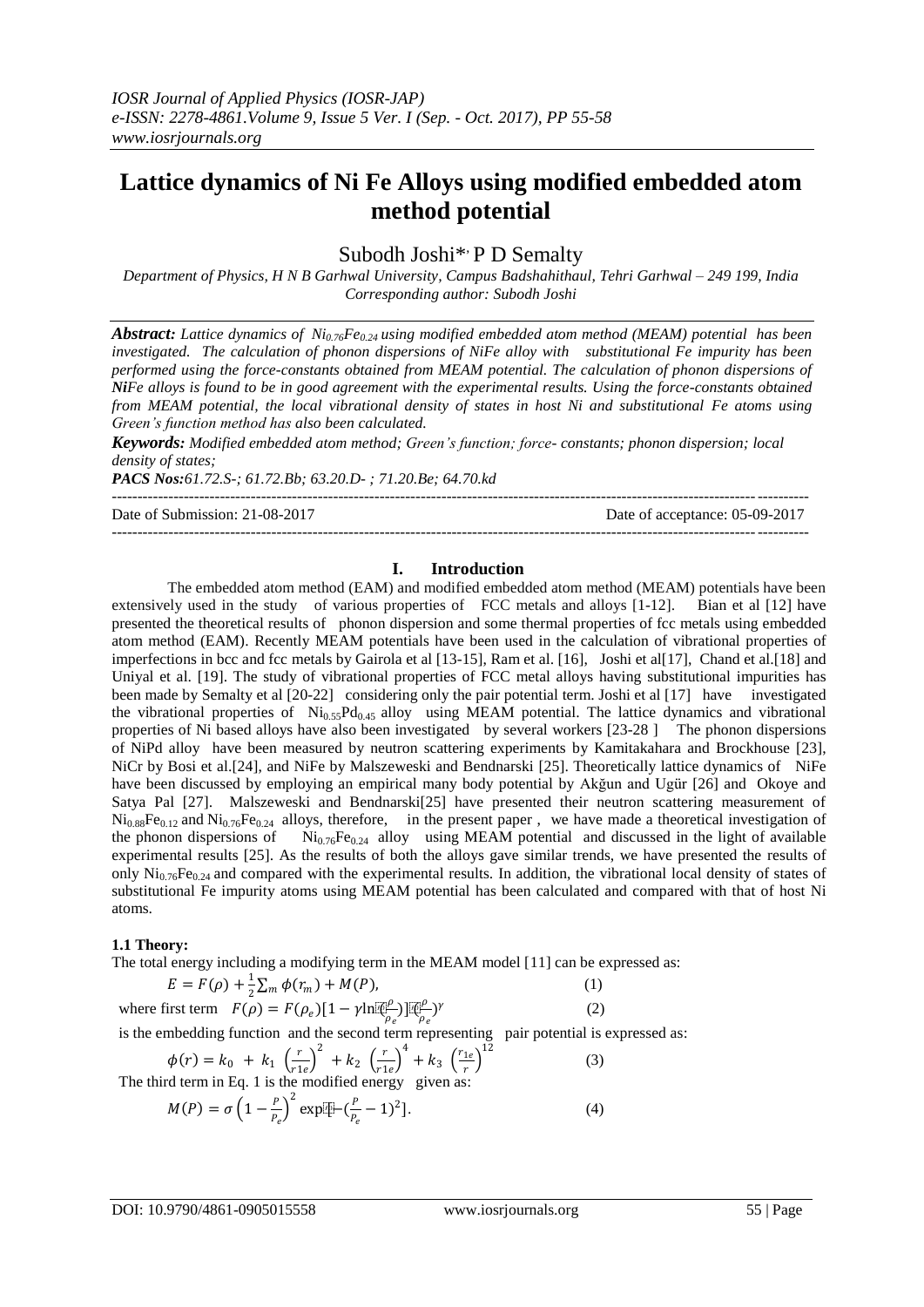# **Lattice dynamics of Ni Fe Alloys using modified embedded atom method potential**

# Subodh Joshi\*<sup>,</sup> P D Semalty

*Department of Physics, H N B Garhwal University, Campus Badshahithaul, Tehri Garhwal – 249 199, India Corresponding author: Subodh Joshi*

*Abstract: Lattice dynamics of Ni0.76Fe0.24 using modified embedded atom method (MEAM) potential has been investigated. The calculation of phonon dispersions of NiFe alloy with substitutional Fe impurity has been performed using the force-constants obtained from MEAM potential. The calculation of phonon dispersions of NiFe alloys is found to be in good agreement with the experimental results. Using the force-constants obtained from MEAM potential, the local vibrational density of states in host Ni and substitutional Fe atoms using Green's function method has also been calculated.* 

*Keywords: Modified embedded atom method; Green's function; force- constants; phonon dispersion; local density of states;* 

*PACS Nos:61.72.S-; 61.72.Bb; 63.20.D- ; 71.20.Be; 64.70.kd*

---------------------------------------------------------------------------------------------------------------------------------------

Date of Submission: 21-08-2017 Date of acceptance: 05-09-2017

---------------------------------------------------------------------------------------------------------------------------------------

#### **I. Introduction**

The embedded atom method (EAM) and modified embedded atom method (MEAM) potentials have been extensively used in the study of various properties of FCC metals and alloys [1-12]. Bian et al [12] have presented the theoretical results of phonon dispersion and some thermal properties of fcc metals using embedded atom method (EAM). Recently MEAM potentials have been used in the calculation of vibrational properties of imperfections in bcc and fcc metals by Gairola et al [13-15], Ram et al. [16], Joshi et al[17], Chand et al.[18] and Uniyal et al. [19]. The study of vibrational properties of FCC metal alloys having substitutional impurities has been made by Semalty et al [20-22] considering only the pair potential term. Joshi et al [17] have investigated the vibrational properties of  $Ni<sub>0.55</sub>Pd<sub>0.45</sub>$  alloy using MEAM potential. The lattice dynamics and vibrational properties of Ni based alloys have also been investigated by several workers [23-28 ] The phonon dispersions of NiPd alloy have been measured by neutron scattering experiments by Kamitakahara and Brockhouse [23], NiCr by Bosi et al.[24], and NiFe by Malszeweski and Bendnarski [25]. Theoretically lattice dynamics of NiFe have been discussed by employing an empirical many body potential by Akğun and Ugür [26] and Okoye and Satya Pal [27]. Malszeweski and Bendnarski[25] have presented their neutron scattering measurement of  $Ni_{0.88}Fe_{0.12}$  and  $Ni_{0.76}Fe_{0.24}$  alloys, therefore, in the present paper, we have made a theoretical investigation of the phonon dispersions of  $Ni_{0.76}Fe_{0.24}$  alloy using MEAM potential and discussed in the light of available experimental results [25]. As the results of both the alloys gave similar trends, we have presented the results of only  $\text{Ni}_{0.76}\text{Fe}_{0.24}$  and compared with the experimental results. In addition, the vibrational local density of states of substitutional Fe impurity atoms using MEAM potential has been calculated and compared with that of host Ni atoms.

#### **1.1 Theory:**

The total energy including a modifying term in the MEAM model [11] can be expressed as:

$$
E = F(\rho) + \frac{1}{2} \sum_{m} \phi(r_m) + M(P),
$$
 (1)

where first term  $F(\rho) = F(\rho_e)[1 - \gamma \ln \mathbb{R}^p$  $[\frac{\rho}{\rho_e})]$  ( $[\frac{\rho}{\rho_e}]$  $\frac{\beta}{\rho_e}$ )<sup>r</sup>

is the embedding function and the second term representing pair potential is expressed as:

$$
\phi(r) = k_0 + k_1 \left(\frac{r}{r_1 e}\right)^2 + k_2 \left(\frac{r}{r_1 e}\right)^4 + k_3 \left(\frac{r_1 e}{r}\right)^{12}
$$
\nThe third term in Eq. 1 is the modified energy given as:

\n
$$
M(P) = \sigma \left(1 - \frac{P}{P_e}\right)^2 \exp[\frac{r}{T} - \left(\frac{P}{P_e} - 1\right)^2].
$$
\n(4)

(2)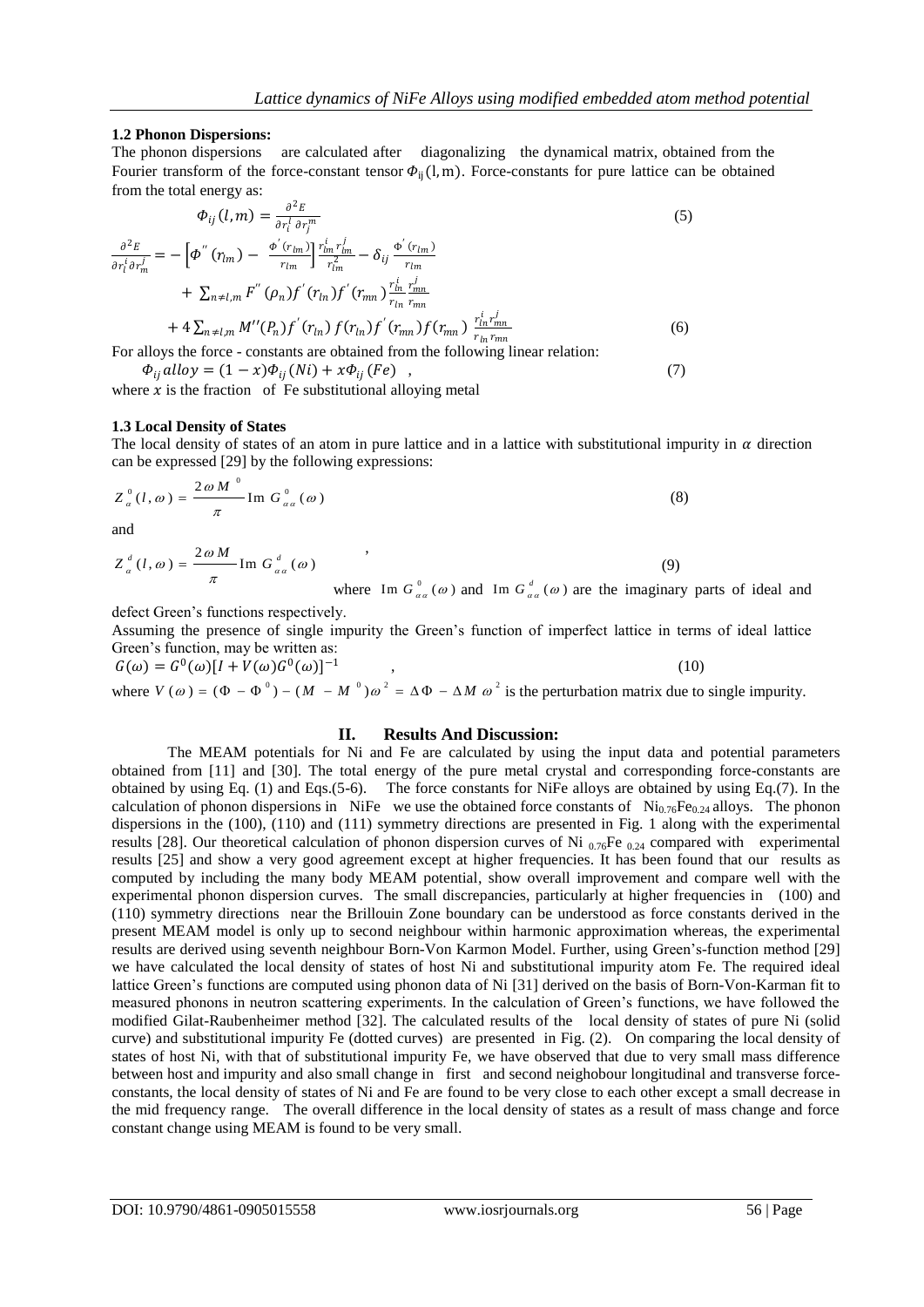### **1.2 Phonon Dispersions:**

The phonon dispersions are calculated after diagonalizing the dynamical matrix, obtained from the Fourier transform of the force-constant tensor  $\Phi_{ii}(l, m)$ . Force-constants for pure lattice can be obtained from the total energy as:

$$
\Phi_{ij}(l,m) = \frac{\partial^2 E}{\partial r_i^l \partial r_j^m}
$$
\n
$$
\frac{\partial^2 E}{\partial r_i^j \partial r_m^j} = -\left[\Phi^{''}(r_{lm}) - \frac{\Phi^{'}(r_{lm})}{r_{lm}}\right] \frac{r_{lm}^i r_{lm}^j}{r_{lm}^2} - \delta_{ij} \frac{\Phi^{'}(r_{lm})}{r_{lm}}
$$
\n
$$
+ \sum_{n \neq l,m} F^{''}(p_n) f^{'}(r_{lm}) f^{'}(r_{mn}) \frac{r_{lm}^i}{r_{lm}} \frac{r_{mn}^j}{r_{mn}}
$$
\n
$$
+ 4 \sum_{n \neq l,m} M''(p) f^{'}(r, r_{lm}) f^{'}(r, r_{lm}) f^{'}(r, r_{lm}) \frac{r_{lm}^i r_{mn}^j}{r_{lm}}
$$
\n(6)

+ 
$$
4 \sum_{n \neq l,m} M''(P_n) f'(r_{ln}) f(r_{ln}) f'(r_{mn}) f(r_{mn}) \frac{r_{ln} r_{mn}}{r_{ln} r_{mn}}
$$
 (6)  
For alloys the force - constants are obtained from the following linear relation:

 $\Phi_{ii}$  alloy =  $(1 - x)\Phi_{ii} (Ni) + x\Phi_{ii} (Fe)$ , (7)

where  $x$  is the fraction of Fe substitutional alloying metal

#### **1.3 Local Density of States**

The local density of states of an atom in pure lattice and in a lattice with substitutional impurity in  $\alpha$  direction can be expressed [29] by the following expressions:

$$
Z_{\alpha}^{\,0}(l,\omega) = \frac{2\omega M^{\,0}}{\pi} \operatorname{Im} G_{\alpha\alpha}^{\,0}(\omega)
$$
\n(8)

and

$$
Z_{\alpha}^d(l,\omega) = \frac{2\omega M}{\pi} \text{Im } G_{\alpha\alpha}^d(\omega)
$$
 (9)

where Im  $G_{\alpha\alpha}^0(\omega)$  and Im  $G_{\alpha\alpha}^d(\omega)$  are the imaginary parts of ideal and

defect Green's functions respectively.

Assuming the presence of single impurity the Green's function of imperfect lattice in terms of ideal lattice Green's function, may be written as:

$$
G(\omega) = G^{0}(\omega)[I + V(\omega)G^{0}(\omega)]^{-1},
$$
  
where  $V(\omega) = (\Phi - \Phi^{0}) - (M - M^{0})\omega^{2} = \Delta\Phi - \Delta M \omega^{2}$  is the perturbation matrix due to single impurity.

## **II. Results And Discussion:**

The MEAM potentials for Ni and Fe are calculated by using the input data and potential parameters obtained from [11] and [30]. The total energy of the pure metal crystal and corresponding force-constants are obtained by using Eq. (1) and Eqs.(5-6). The force constants for NiFe alloys are obtained by using Eq.(7). In the calculation of phonon dispersions in NiFe we use the obtained force constants of Ni<sub>0.76</sub>Fe<sub>0.24</sub> alloys. The phonon dispersions in the (100), (110) and (111) symmetry directions are presented in Fig. 1 along with the experimental results [28]. Our theoretical calculation of phonon dispersion curves of Ni  $_{0.76}$ Fe  $_{0.24}$  compared with experimental results [25] and show a very good agreement except at higher frequencies. It has been found that our results as computed by including the many body MEAM potential, show overall improvement and compare well with the experimental phonon dispersion curves. The small discrepancies, particularly at higher frequencies in (100) and (110) symmetry directions near the Brillouin Zone boundary can be understood as force constants derived in the present MEAM model is only up to second neighbour within harmonic approximation whereas, the experimental results are derived using seventh neighbour Born-Von Karmon Model. Further, using Green's-function method [29] we have calculated the local density of states of host Ni and substitutional impurity atom Fe. The required ideal lattice Green's functions are computed using phonon data of Ni [31] derived on the basis of Born-Von-Karman fit to measured phonons in neutron scattering experiments. In the calculation of Green's functions, we have followed the modified Gilat-Raubenheimer method [32]. The calculated results of the local density of states of pure Ni (solid curve) and substitutional impurity Fe (dotted curves) are presented in Fig. (2). On comparing the local density of states of host Ni, with that of substitutional impurity Fe, we have observed that due to very small mass difference between host and impurity and also small change in first and second neighobour longitudinal and transverse forceconstants, the local density of states of Ni and Fe are found to be very close to each other except a small decrease in the mid frequency range. The overall difference in the local density of states as a result of mass change and force constant change using MEAM is found to be very small.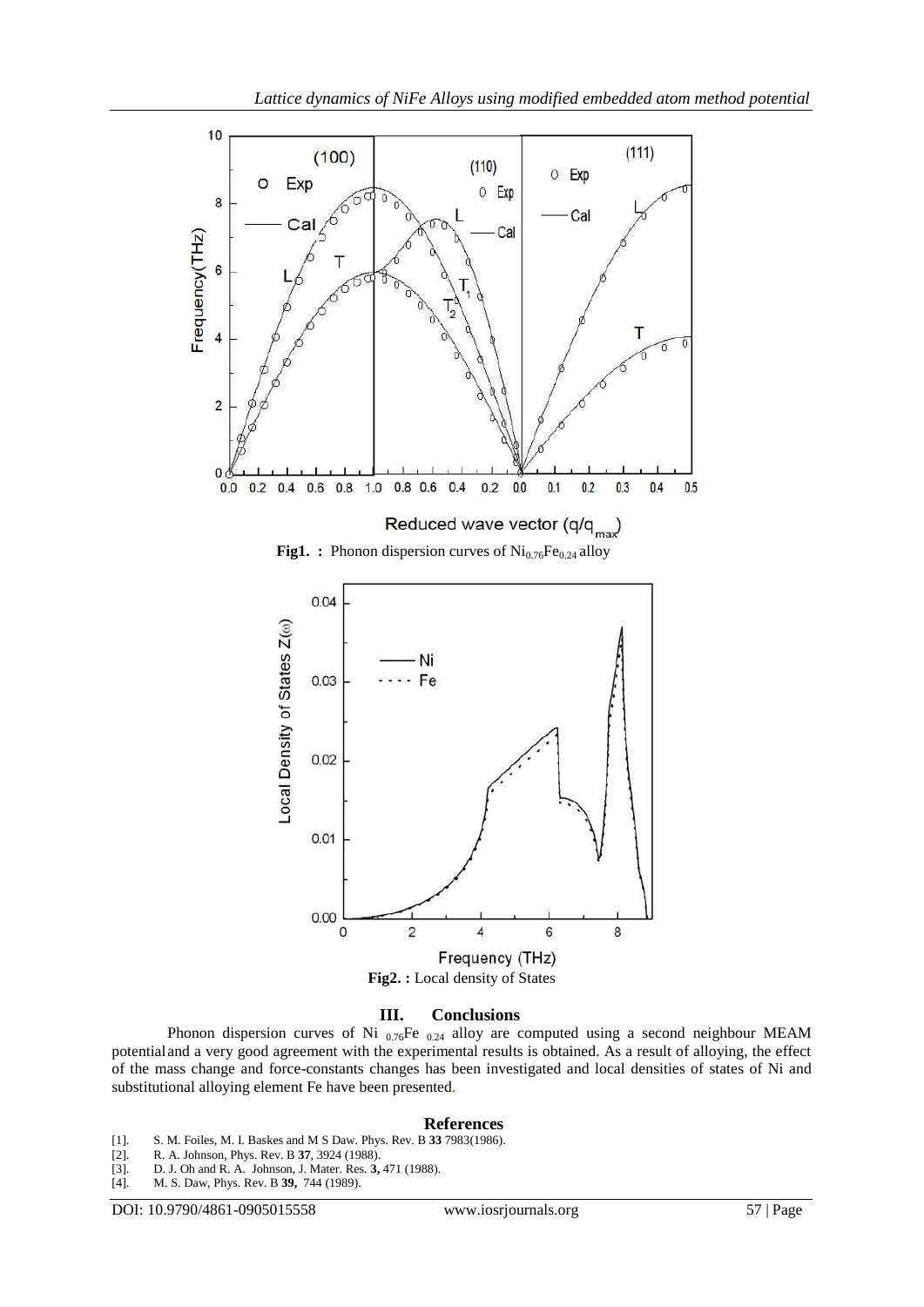

### **III. Conclusions**

Phonon dispersion curves of Ni  $_{0.76}$ Fe  $_{0.24}$  alloy are computed using a second neighbour MEAM potentialand a very good agreement with the experimental results is obtained. As a result of alloying, the effect of the mass change and force-constants changes has been investigated and local densities of states of Ni and substitutional alloying element Fe have been presented.

#### **References**

- [1]. S. M. Foiles, M. I. Baskes and M S Daw. Phys. Rev. B **33** 7983(1986).
- [2]. R. A. Johnson, Phys. Rev. B **37**, 3924 (1988).
- [3]. D. J. Oh and R. A. Johnson, J. Mater. Res. **3,** 471 (1988).
- [4]. M. S. Daw, Phys. Rev. B **39,** 744 (1989).